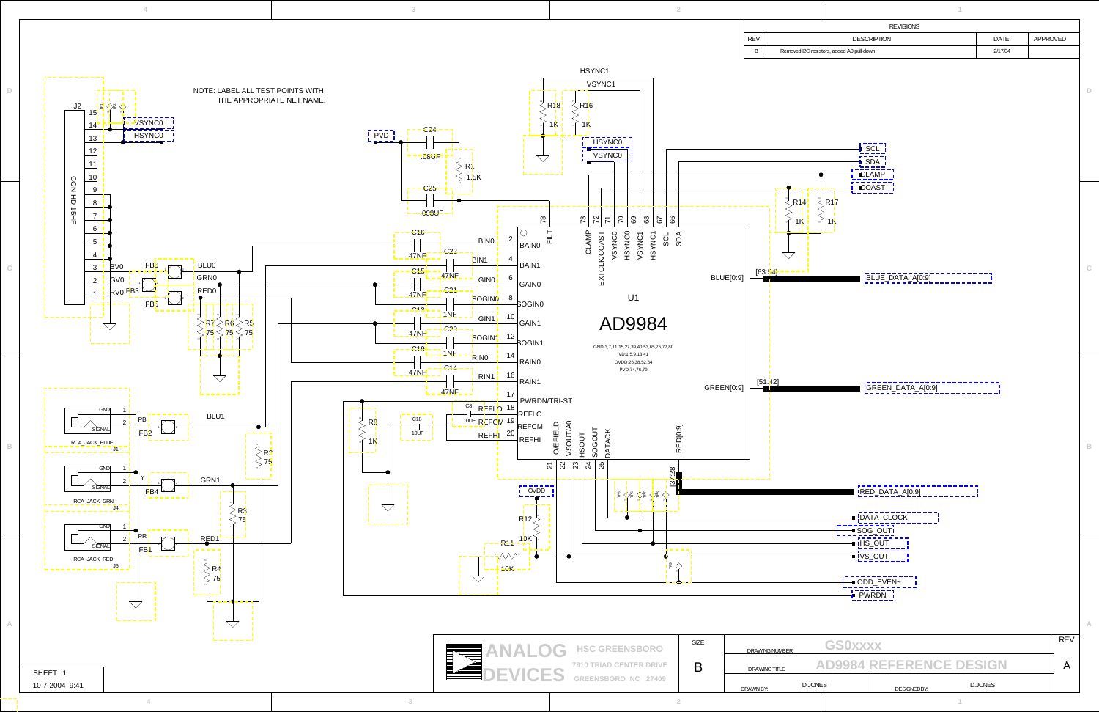<span id="page-0-15"></span>**3**

**B**

**C**

<span id="page-0-12"></span>**4 3 2**

**4**

<span id="page-0-0"></span>**D**

<span id="page-0-18"></span><span id="page-0-16"></span><span id="page-0-14"></span><span id="page-0-13"></span><span id="page-0-11"></span><span id="page-0-10"></span>

| <b>REVISIONS</b> |                                           |             |                 |  |  |  |  |  |
|------------------|-------------------------------------------|-------------|-----------------|--|--|--|--|--|
| <b>REV</b>       | <b>DESCRIPTION</b>                        | <b>DATE</b> | <b>APPROVED</b> |  |  |  |  |  |
| B                | Removed I2C resistors, added A0 pull-down | 2/17/04     |                 |  |  |  |  |  |

<span id="page-0-6"></span><span id="page-0-5"></span><span id="page-0-3"></span><span id="page-0-2"></span>

<span id="page-0-17"></span><span id="page-0-9"></span><span id="page-0-8"></span><span id="page-0-7"></span><span id="page-0-4"></span>

<span id="page-0-1"></span>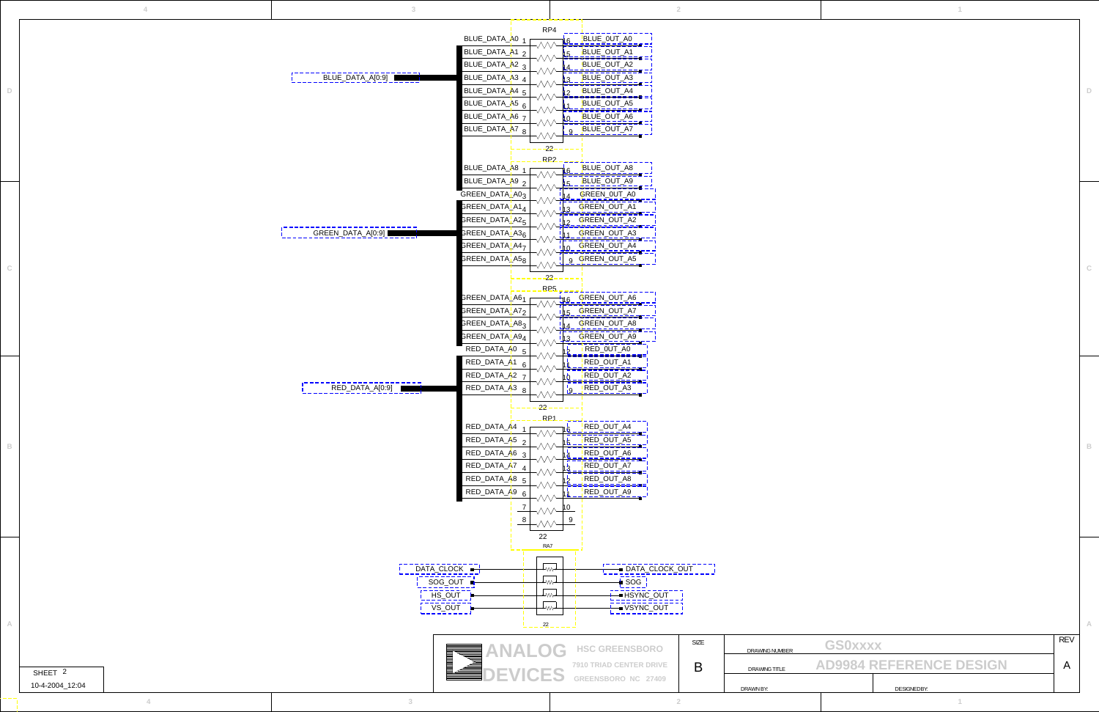**D**

**C**

**B**

<span id="page-1-40"></span><span id="page-1-39"></span><span id="page-1-38"></span><span id="page-1-37"></span><span id="page-1-36"></span><span id="page-1-35"></span><span id="page-1-34"></span><span id="page-1-31"></span><span id="page-1-27"></span><span id="page-1-26"></span><span id="page-1-24"></span><span id="page-1-22"></span><span id="page-1-20"></span><span id="page-1-18"></span><span id="page-1-16"></span><span id="page-1-15"></span><span id="page-1-14"></span><span id="page-1-13"></span><span id="page-1-12"></span><span id="page-1-11"></span><span id="page-1-10"></span><span id="page-1-9"></span><span id="page-1-8"></span><span id="page-1-7"></span><span id="page-1-6"></span><span id="page-1-5"></span><span id="page-1-3"></span><span id="page-1-2"></span>

|                                         |                                |                    | <b>REV</b> |  |  |
|-----------------------------------------|--------------------------------|--------------------|------------|--|--|
| <b>GSOXXXX</b><br><b>DRAWING NUMBER</b> |                                |                    |            |  |  |
| <b>DRAWING TITLE</b>                    | <b>AD9984 REFERENCE DESIGN</b> |                    |            |  |  |
|                                         |                                |                    |            |  |  |
| DRAWN BY:                               |                                | <b>DESIGNEDBY:</b> |            |  |  |

<span id="page-1-33"></span><span id="page-1-32"></span><span id="page-1-30"></span><span id="page-1-29"></span><span id="page-1-28"></span><span id="page-1-25"></span><span id="page-1-23"></span><span id="page-1-21"></span><span id="page-1-19"></span><span id="page-1-17"></span><span id="page-1-4"></span><span id="page-1-1"></span><span id="page-1-0"></span>

| $\Delta$                              |                   |                                                                                                                                                                                                                                                                                                                                                                                                                                 | $\overline{2}$ |                                                                                                                               |                            |
|---------------------------------------|-------------------|---------------------------------------------------------------------------------------------------------------------------------------------------------------------------------------------------------------------------------------------------------------------------------------------------------------------------------------------------------------------------------------------------------------------------------|----------------|-------------------------------------------------------------------------------------------------------------------------------|----------------------------|
| $\mathbb D$                           | BLUE_DATA_A[0:9]  | RP4<br>BLUE_DATA_A0 <sub>1</sub><br>BLUE_0UT_A0<br>ΛΛΛ<br>- 1<br>BLUE_DATA_A1 <sub>2</sub><br>BLUE_OUT_A1<br>$\overline{\phantom{a}}$<br>BLUE_DATA_A2 3<br>BLUE_OUT_A2<br>--<br>BLUE_DATA_A3 <sub>4</sub><br>BLUE_OUT_A3<br>BLUE_DATA_A4 5<br>BLUE_OUT_A4<br>BLUE_DATA_A5 6<br>BLUE_OUT_A5<br>BLUE_DATA_A6 7<br>BLUE_OUT_A6<br>$\overline{\phantom{a}}$<br>BLUE_DATA_A7 8<br>9 BLUE_OUT_A7<br>22                                |                |                                                                                                                               |                            |
|                                       |                   | RP <sub>2</sub><br>BLUE_DATA_A8 <sub>1</sub><br>BLUE_OUT_A8<br>ΛΛΛ<br>BLUE_DATA_A9 2<br>BLUE_OUT_A9<br>$\overline{\phantom{a}}$<br>GREEN_DATA_A03<br>GREEN_0UT_A0<br>GREEN_DATA_A1 <sub>4</sub><br>GREEN_OUT_A1                                                                                                                                                                                                                 |                |                                                                                                                               |                            |
| $\mathbb{C}^-$                        | GREEN_DATA_A[0:9] | GREEN_DATA_A2 <sub>5</sub><br>GREEN_OUT_A2<br>GREEN_DATA_A3 <sub>6</sub><br>GREEN_OUT_A3<br>GREEN_DATA_A4 <sub>7</sub><br>10 GREEN_OUT_A4<br>ヘヘハ<br>GREEN_DATA_A5 <sub>8</sub><br>9 GREEN_OUT_A5<br>v₩<br>22<br>RP <sub>5</sub><br>GREEN_DATA_A61<br>GREEN_OUT_A6<br>16<br>ヘヘヘ<br>GREEN_DATA_A72<br>15 GREEN_OUT_A7<br>$\overline{\phantom{a}}$<br>GREEN_DATA_A83<br>GREEN_OUT_A8<br>GREEN_DATA_A9 <sub>4</sub><br>GREEN_OUT_A9 |                |                                                                                                                               |                            |
| $\mathbb B$                           | RED_DATA_A[0:9]   | RED_DATA_A0 5<br>RED_0UT_A0<br>RED_DATA_A1 e<br>RED_OUT_A1<br>RED_DATA_A2 7<br>RED_OUT_A2<br>$\overline{\phantom{0}}$<br>RED_DATA_A3 8<br>9 RED_OUT_A3<br>v₩<br>22<br>RP1<br>RED_DATA_A4<br>RED_OUT_A4<br>RED_DATA_A5 2<br>RED_OUT_A5<br>RED_DATA_A6 <sub>3</sub><br>RED_OUT_A6<br>RED_DATA_A7 <sub>4</sub><br>RED_OUT_A7<br>RED_DATA_A8 5<br>RED_OUT_A8<br>RED_DATA_A9<br>RED_OUT_A9                                           |                |                                                                                                                               |                            |
| SHEET <sub>2</sub><br>10-4-2004_12:04 | DATA_CLOCK -      | 22<br>RA7<br>ᡶᡂ<br>- DATA_CLOCK_OUT<br>SOG_OUT $\blacksquare$<br>∸₩<br>$-$ SOG<br>HS_OUT <b>=</b><br>— HSYNC_OUT<br>∸₩₩<br>VS_OUT<br>— VSYNC_OUT<br>→ู่∧∧√<br>22<br><b>HSC GREENSBORO</b><br>7910 TRIAD CENTER DRIVE<br>VICES<br>GREENSBORO NC 27409                                                                                                                                                                            | SIZE<br>B      | <b>GS0xxxx</b><br><b>DRAWING NUMBER</b><br><b>AD9984 REFERENCE DESIGN</b><br>DRAWING TITLE<br>DRAWN BY:<br><b>DESIGNEDBY:</b> | <b>REV</b><br>$\mathsf{A}$ |